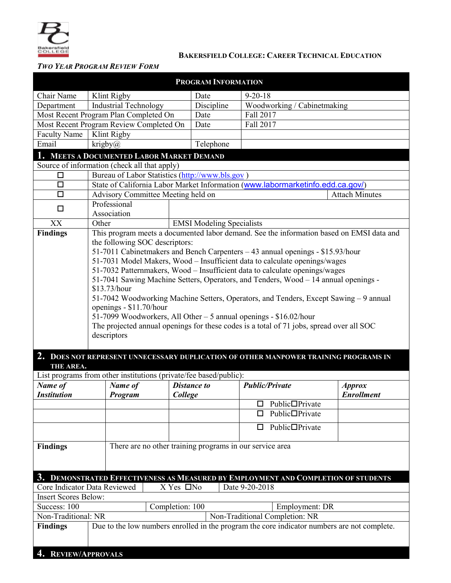

### **BAKERSFIELD COLLEGE: CAREER TECHNICAL EDUCATION**

## *TWO YEAR PROGRAM REVIEW FORM*

| <b>PROGRAM INFORMATION</b>                                                                                     |                                                                                                                                                               |                                                             |                    |               |                              |                   |  |
|----------------------------------------------------------------------------------------------------------------|---------------------------------------------------------------------------------------------------------------------------------------------------------------|-------------------------------------------------------------|--------------------|---------------|------------------------------|-------------------|--|
| Chair Name                                                                                                     | Klint Rigby                                                                                                                                                   |                                                             | Date               | $9 - 20 - 18$ |                              |                   |  |
| Department                                                                                                     | <b>Industrial Technology</b>                                                                                                                                  |                                                             | Discipline         |               | Woodworking / Cabinetmaking  |                   |  |
| Most Recent Program Plan Completed On                                                                          |                                                                                                                                                               | Date                                                        | Fall 2017          |               |                              |                   |  |
| Most Recent Program Review Completed On                                                                        |                                                                                                                                                               | Date                                                        | Fall 2017          |               |                              |                   |  |
| <b>Faculty Name</b>                                                                                            | Klint Rigby                                                                                                                                                   |                                                             |                    |               |                              |                   |  |
| Email                                                                                                          | krigby $\omega$                                                                                                                                               |                                                             | Telephone          |               |                              |                   |  |
| 1. MEETS A DOCUMENTED LABOR MARKET DEMAND                                                                      |                                                                                                                                                               |                                                             |                    |               |                              |                   |  |
| Source of information (check all that apply)                                                                   |                                                                                                                                                               |                                                             |                    |               |                              |                   |  |
| □                                                                                                              | Bureau of Labor Statistics (http://www.bls.gov)                                                                                                               |                                                             |                    |               |                              |                   |  |
| $\Box$                                                                                                         | State of California Labor Market Information (www.labormarketinfo.edd.ca.gov/)                                                                                |                                                             |                    |               |                              |                   |  |
| $\Box$                                                                                                         |                                                                                                                                                               | Advisory Committee Meeting held on<br><b>Attach Minutes</b> |                    |               |                              |                   |  |
| $\Box$                                                                                                         | Professional                                                                                                                                                  |                                                             |                    |               |                              |                   |  |
| XX                                                                                                             | Association<br>Other                                                                                                                                          |                                                             |                    |               |                              |                   |  |
| <b>Findings</b>                                                                                                | <b>EMSI Modeling Specialists</b><br>This program meets a documented labor demand. See the information based on EMSI data and                                  |                                                             |                    |               |                              |                   |  |
|                                                                                                                | the following SOC descriptors:                                                                                                                                |                                                             |                    |               |                              |                   |  |
|                                                                                                                | 51-7011 Cabinetmakers and Bench Carpenters - 43 annual openings - \$15.93/hour                                                                                |                                                             |                    |               |                              |                   |  |
|                                                                                                                | 51-7031 Model Makers, Wood - Insufficient data to calculate openings/wages                                                                                    |                                                             |                    |               |                              |                   |  |
|                                                                                                                | 51-7032 Patternmakers, Wood - Insufficient data to calculate openings/wages                                                                                   |                                                             |                    |               |                              |                   |  |
|                                                                                                                | 51-7041 Sawing Machine Setters, Operators, and Tenders, Wood – 14 annual openings -                                                                           |                                                             |                    |               |                              |                   |  |
|                                                                                                                | \$13.73/hour                                                                                                                                                  |                                                             |                    |               |                              |                   |  |
|                                                                                                                | 51-7042 Woodworking Machine Setters, Operators, and Tenders, Except Sawing - 9 annual                                                                         |                                                             |                    |               |                              |                   |  |
|                                                                                                                | openings - \$11.70/hour                                                                                                                                       |                                                             |                    |               |                              |                   |  |
|                                                                                                                | 51-7099 Woodworkers, All Other - 5 annual openings - \$16.02/hour<br>The projected annual openings for these codes is a total of 71 jobs, spread over all SOC |                                                             |                    |               |                              |                   |  |
|                                                                                                                | descriptors                                                                                                                                                   |                                                             |                    |               |                              |                   |  |
|                                                                                                                |                                                                                                                                                               |                                                             |                    |               |                              |                   |  |
|                                                                                                                | 2. DOES NOT REPRESENT UNNECESSARY DUPLICATION OF OTHER MANPOWER TRAINING PROGRAMS IN                                                                          |                                                             |                    |               |                              |                   |  |
| THE AREA.                                                                                                      |                                                                                                                                                               |                                                             |                    |               |                              |                   |  |
|                                                                                                                | List programs from other institutions (private/fee based/public):                                                                                             |                                                             |                    |               |                              |                   |  |
| Name of                                                                                                        | Name of                                                                                                                                                       |                                                             | <b>Distance to</b> |               | <b>Public/Private</b>        | <b>Approx</b>     |  |
| <b>Institution</b>                                                                                             | Program                                                                                                                                                       | College                                                     |                    |               |                              | <b>Enrollment</b> |  |
|                                                                                                                |                                                                                                                                                               |                                                             |                    |               | $\Box$ Public $\Box$ Private |                   |  |
|                                                                                                                |                                                                                                                                                               |                                                             |                    | □             | Public□Private               |                   |  |
|                                                                                                                |                                                                                                                                                               |                                                             |                    | □             | Public□Private               |                   |  |
|                                                                                                                |                                                                                                                                                               |                                                             |                    |               |                              |                   |  |
| <b>Findings</b>                                                                                                | There are no other training programs in our service area                                                                                                      |                                                             |                    |               |                              |                   |  |
|                                                                                                                |                                                                                                                                                               |                                                             |                    |               |                              |                   |  |
|                                                                                                                |                                                                                                                                                               |                                                             |                    |               |                              |                   |  |
|                                                                                                                | 3. DEMONSTRATED EFFECTIVENESS AS MEASURED BY EMPLOYMENT AND COMPLETION OF STUDENTS                                                                            |                                                             |                    |               |                              |                   |  |
| Core Indicator Data Reviewed<br>X Yes □No<br>Date 9-20-2018                                                    |                                                                                                                                                               |                                                             |                    |               |                              |                   |  |
| <b>Insert Scores Below:</b>                                                                                    |                                                                                                                                                               |                                                             |                    |               |                              |                   |  |
| Success: 100<br>Completion: 100                                                                                |                                                                                                                                                               |                                                             | Employment: DR     |               |                              |                   |  |
| Non-Traditional: NR<br>Non-Traditional Completion: NR                                                          |                                                                                                                                                               |                                                             |                    |               |                              |                   |  |
| Due to the low numbers enrolled in the program the core indicator numbers are not complete.<br><b>Findings</b> |                                                                                                                                                               |                                                             |                    |               |                              |                   |  |
|                                                                                                                |                                                                                                                                                               |                                                             |                    |               |                              |                   |  |
| <b>REVIEW/APPROVALS</b>                                                                                        |                                                                                                                                                               |                                                             |                    |               |                              |                   |  |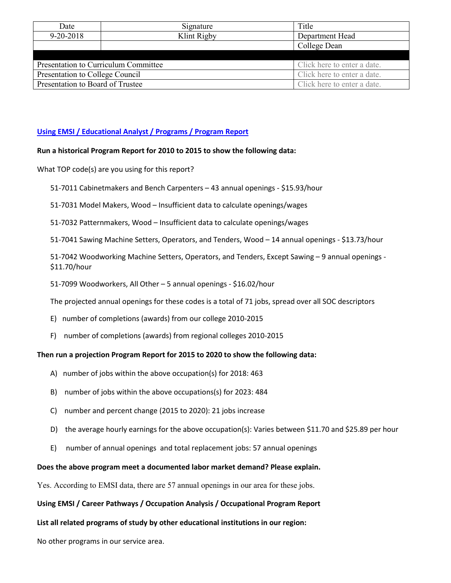| Date                             | Signature                            | Title                       |
|----------------------------------|--------------------------------------|-----------------------------|
| $9 - 20 - 2018$                  | Klint Rigby                          | Department Head             |
|                                  |                                      | College Dean                |
|                                  |                                      |                             |
|                                  | Presentation to Curriculum Committee | Click here to enter a date. |
| Presentation to College Council  |                                      | Click here to enter a date. |
| Presentation to Board of Trustee |                                      | Click here to enter a date. |

### **[Using EMSI / Educational Analyst / Programs / Program Report](https://west.economicmodeling.com/analyst/?session_tab=51ac03363e8193049bd953975523ffd8#module=programs§ion=my_programs)**

#### **Run a historical Program Report for 2010 to 2015 to show the following data:**

What TOP code(s) are you using for this report?

- 51-7011 Cabinetmakers and Bench Carpenters 43 annual openings \$15.93/hour
- 51-7031 Model Makers, Wood Insufficient data to calculate openings/wages
- 51-7032 Patternmakers, Wood Insufficient data to calculate openings/wages
- 51-7041 Sawing Machine Setters, Operators, and Tenders, Wood 14 annual openings \$13.73/hour

51-7042 Woodworking Machine Setters, Operators, and Tenders, Except Sawing – 9 annual openings - \$11.70/hour

51-7099 Woodworkers, All Other – 5 annual openings - \$16.02/hour

The projected annual openings for these codes is a total of 71 jobs, spread over all SOC descriptors

- E) number of completions (awards) from our college 2010-2015
- F) number of completions (awards) from regional colleges 2010-2015

#### **Then run a projection Program Report for 2015 to 2020 to show the following data:**

- A) number of jobs within the above occupation(s) for 2018: 463
- B) number of jobs within the above occupations(s) for 2023: 484
- C) number and percent change (2015 to 2020): 21 jobs increase
- D) the average hourly earnings for the above occupation(s): Varies between \$11.70 and \$25.89 per hour
- E) number of annual openings and total replacement jobs: 57 annual openings

#### **Does the above program meet a documented labor market demand? Please explain.**

Yes. According to EMSI data, there are 57 annual openings in our area for these jobs.

#### **Using EMSI / Career Pathways / Occupation Analysis / Occupational Program Report**

#### **List all related programs of study by other educational institutions in our region:**

No other programs in our service area.